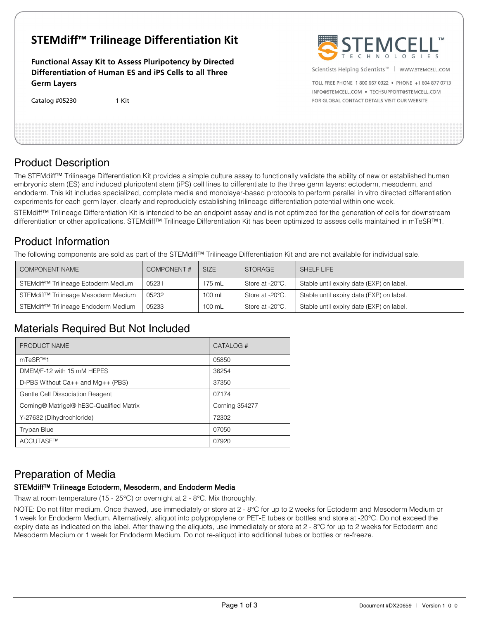# **STEMdiff™ Trilineage Differentiation Kit**

**Functional Assay Kit to Assess Pluripotency by Directed Differentiation of Human ES and iPS Cells to all Three Germ Layers** 

| Catalog #05230 | 1 Kit |
|----------------|-------|
|----------------|-------|



Scientists Helping Scientists™ | WWW.STEMCELL.COM

TOLL FREE PHONE 1 800 667 0322 . PHONE +1 604 877 0713 INFO@STEMCELL.COM . TECHSUPPORT@STEMCELL.COM FOR GLOBAL CONTACT DETAILS VISIT OUR WEBSITE

## Product Description

The STEMdiff™ Trilineage Differentiation Kit provides a simple culture assay to functionally validate the ability of new or established human embryonic stem (ES) and induced pluripotent stem (iPS) cell lines to differentiate to the three germ layers: ectoderm, mesoderm, and endoderm. This kit includes specialized, complete media and monolayer-based protocols to perform parallel in vitro directed differentiation experiments for each germ layer, clearly and reproducibly establishing trilineage differentiation potential within one week.

STEMdiff<sup>™</sup> Trilineage Differentiation Kit is intended to be an endpoint assay and is not optimized for the generation of cells for downstream differentiation or other applications. STEMdiff™ Trilineage Differentiation Kit has been optimized to assess cells maintained in mTeSR™1.

## Product Information

The following components are sold as part of the STEMdiff™ Trilineage Differentiation Kit and are not available for individual sale.

| <b>COMPONENT NAME</b>                                | <b>COMPONENT#</b> | <b>SIZE</b> | <b>STORAGE</b>  | SHELF LIFE                               |
|------------------------------------------------------|-------------------|-------------|-----------------|------------------------------------------|
| STEMdiff <sup>™</sup> Trilineage Ectoderm Medium     | 05231             | 175 mL      | Store at -20°C. | Stable until expiry date (EXP) on label. |
| STEMdiff <sup>™</sup> Trilineage Mesoderm Medium     | 05232             | 100 mL      | Store at -20°C. | Stable until expiry date (EXP) on label. |
| Trilineage Endoderm Medium<br>STEMdiff™ <sup>-</sup> | 05233             | 100 mL      | Store at -20°C. | Stable until expiry date (EXP) on label. |

# Materials Required But Not Included

| PRODUCT NAME                             | CATALOG#              |
|------------------------------------------|-----------------------|
| mTeSR™1                                  | 05850                 |
| DMEM/F-12 with 15 mM HEPES               | 36254                 |
| D-PBS Without $Ca++$ and $Mg++$ (PBS)    | 37350                 |
| Gentle Cell Dissociation Reagent         | 07174                 |
| Corning® Matrigel® hESC-Qualified Matrix | <b>Corning 354277</b> |
| Y-27632 (Dihydrochloride)                | 72302                 |
| <b>Trypan Blue</b>                       | 07050                 |
| ACCUTASE™                                | 07920                 |

# Preparation of Media

## STEMdiff™ Trilineage Ectoderm, Mesoderm, and Endoderm Media

Thaw at room temperature (15 - 25°C) or overnight at 2 - 8°C. Mix thoroughly.

NOTE: Do not filter medium. Once thawed, use immediately or store at 2 - 8°C for up to 2 weeks for Ectoderm and Mesoderm Medium or 1 week for Endoderm Medium. Alternatively, aliquot into polypropylene or PET-E tubes or bottles and store at -20°C. Do not exceed the expiry date as indicated on the label. After thawing the aliquots, use immediately or store at 2 - 8°C for up to 2 weeks for Ectoderm and Mesoderm Medium or 1 week for Endoderm Medium. Do not re-aliquot into additional tubes or bottles or re-freeze.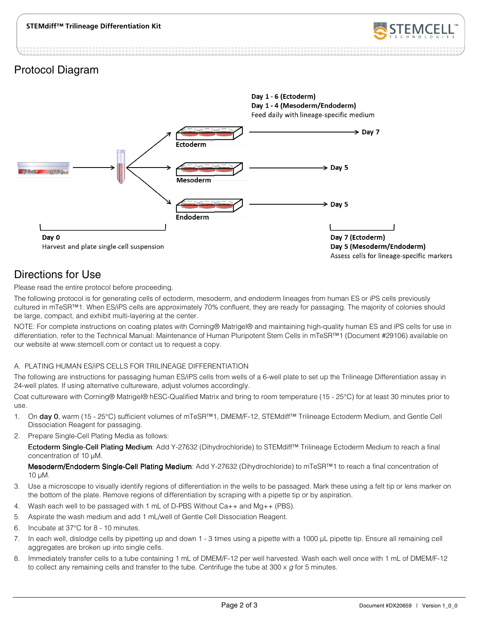

## Protocol Diagram



# Directions for Use

Please read the entire protocol before proceeding.

The following protocol is for generating cells of ectoderm, mesoderm, and endoderm lineages from human ES or iPS cells previously cultured in mTeSR™1. When ES/iPS cells are approximately 70% confluent, they are ready for passaging. The majority of colonies should be large, compact, and exhibit multi-layering at the center.

NOTE: For complete instructions on coating plates with Corning® Matrigel® and maintaining high-quality human ES and iPS cells for use in differentiation, refer to the Technical Manual: Maintenance of Human Pluripotent Stem Cells in mTeSR™1 (Document #29106) available on our website at www.stemcell.com or contact us to request a copy.

### A. PLATING HUMAN ES/iPS CELLS FOR TRILINEAGE DIFFERENTIATION

The following are instructions for passaging human ES/iPS cells from wells of a 6-well plate to set up the Trilineage Differentiation assay in 24-well plates. If using alternative cultureware, adjust volumes accordingly.

Coat cultureware with Corning® Matrigel® hESC-Qualified Matrix and bring to room temperature (15 - 25°C) for at least 30 minutes prior to use.

- 1. On day 0, warm (15 25°C) sufficient volumes of mTeSR™1, DMEM/F-12, STEMdiff™ Trilineage Ectoderm Medium, and Gentle Cell Dissociation Reagent for passaging.
- 2. Prepare Single-Cell Plating Media as follows:

Ectoderm Single-Cell Plating Medium: Add Y-27632 (Dihydrochloride) to STEMdiff™ Trilineage Ectoderm Medium to reach a final concentration of 10 µM.

Mesoderm/Endoderm Single-Cell Plating Medium: Add Y-27632 (Dihydrochloride) to mTeSR™1 to reach a final concentration of 10 µM.

- 3. Use a microscope to visually identify regions of differentiation in the wells to be passaged. Mark these using a felt tip or lens marker on the bottom of the plate. Remove regions of differentiation by scraping with a pipette tip or by aspiration.
- 4. Wash each well to be passaged with 1 mL of D-PBS Without Ca++ and Mg++ (PBS).
- 5. Aspirate the wash medium and add 1 mL/well of Gentle Cell Dissociation Reagent.
- 6. Incubate at 37°C for 8 10 minutes.
- 7. In each well, dislodge cells by pipetting up and down 1 3 times using a pipette with a 1000 µL pipette tip. Ensure all remaining cell aggregates are broken up into single cells.
- 8. Immediately transfer cells to a tube containing 1 mL of DMEM/F-12 per well harvested. Wash each well once with 1 mL of DMEM/F-12 to collect any remaining cells and transfer to the tube. Centrifuge the tube at 300  $\times$  g for 5 minutes.